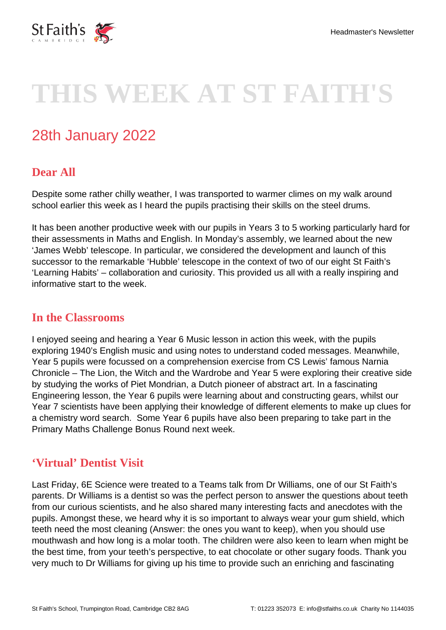

# **THIS WEEK AT ST FAITH'S**

# 28th January 2022

# **Dear All**

Despite some rather chilly weather, I was transported to warmer climes on my walk around school earlier this week as I heard the pupils practising their skills on the steel drums.

It has been another productive week with our pupils in Years 3 to 5 working particularly hard for their assessments in Maths and English. In Monday's assembly, we learned about the new 'James Webb' telescope. In particular, we considered the development and launch of this successor to the remarkable 'Hubble' telescope in the context of two of our eight St Faith's 'Learning Habits' – collaboration and curiosity. This provided us all with a really inspiring and informative start to the week.

#### **In the Classrooms**

I enjoyed seeing and hearing a Year 6 Music lesson in action this week, with the pupils exploring 1940's English music and using notes to understand coded messages. Meanwhile, Year 5 pupils were focussed on a comprehension exercise from CS Lewis' famous Narnia Chronicle – The Lion, the Witch and the Wardrobe and Year 5 were exploring their creative side by studying the works of Piet Mondrian, a Dutch pioneer of abstract art. In a fascinating Engineering lesson, the Year 6 pupils were learning about and constructing gears, whilst our Year 7 scientists have been applying their knowledge of different elements to make up clues for a chemistry word search. Some Year 6 pupils have also been preparing to take part in the Primary Maths Challenge Bonus Round next week.

#### **'Virtual' Dentist Visit**

Last Friday, 6E Science were treated to a Teams talk from Dr Williams, one of our St Faith's parents. Dr Williams is a dentist so was the perfect person to answer the questions about teeth from our curious scientists, and he also shared many interesting facts and anecdotes with the pupils. Amongst these, we heard why it is so important to always wear your gum shield, which teeth need the most cleaning (Answer: the ones you want to keep), when you should use mouthwash and how long is a molar tooth. The children were also keen to learn when might be the best time, from your teeth's perspective, to eat chocolate or other sugary foods. Thank you very much to Dr Williams for giving up his time to provide such an enriching and fascinating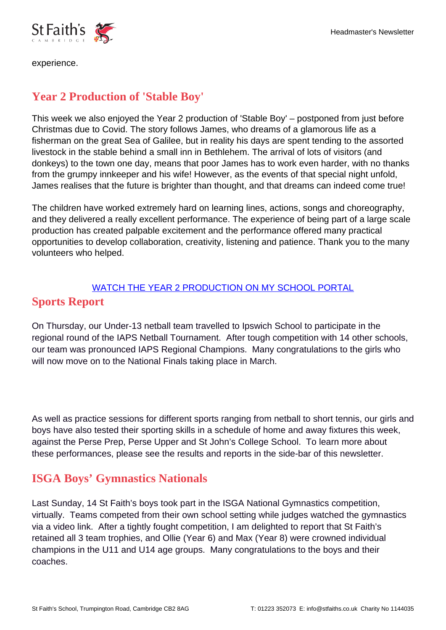

experience.

# **Year 2 Production of 'Stable Boy'**

This week we also enjoyed the Year 2 production of 'Stable Boy' – postponed from just before Christmas due to Covid. The story follows James, who dreams of a glamorous life as a fisherman on the great Sea of Galilee, but in reality his days are spent tending to the assorted livestock in the stable behind a small inn in Bethlehem. The arrival of lots of visitors (and donkeys) to the town one day, means that poor James has to work even harder, with no thanks from the grumpy innkeeper and his wife! However, as the events of that special night unfold, James realises that the future is brighter than thought, and that dreams can indeed come true!

The children have worked extremely hard on learning lines, actions, songs and choreography, and they delivered a really excellent performance. The experience of being part of a large scale production has created palpable excitement and the performance offered many practical opportunities to develop collaboration, creativity, listening and patience. Thank you to the many volunteers who helped.

#### [WATCH THE YEAR 2 PRODUCTION ON MY SCHOOL PORTAL](https://stfaiths.myschoolportal.co.uk/page/213) **Sports Report**

On Thursday, our Under-13 netball team travelled to Ipswich School to participate in the regional round of the IAPS Netball Tournament. After tough competition with 14 other schools, our team was pronounced IAPS Regional Champions. Many congratulations to the girls who will now move on to the National Finals taking place in March.

As well as practice sessions for different sports ranging from netball to short tennis, our girls and boys have also tested their sporting skills in a schedule of home and away fixtures this week, against the Perse Prep, Perse Upper and St John's College School. To learn more about these performances, please see the results and reports in the side-bar of this newsletter.

# **ISGA Boys' Gymnastics Nationals**

Last Sunday, 14 St Faith's boys took part in the ISGA National Gymnastics competition, virtually. Teams competed from their own school setting while judges watched the gymnastics via a video link. After a tightly fought competition, I am delighted to report that St Faith's retained all 3 team trophies, and Ollie (Year 6) and Max (Year 8) were crowned individual champions in the U11 and U14 age groups. Many congratulations to the boys and their coaches.